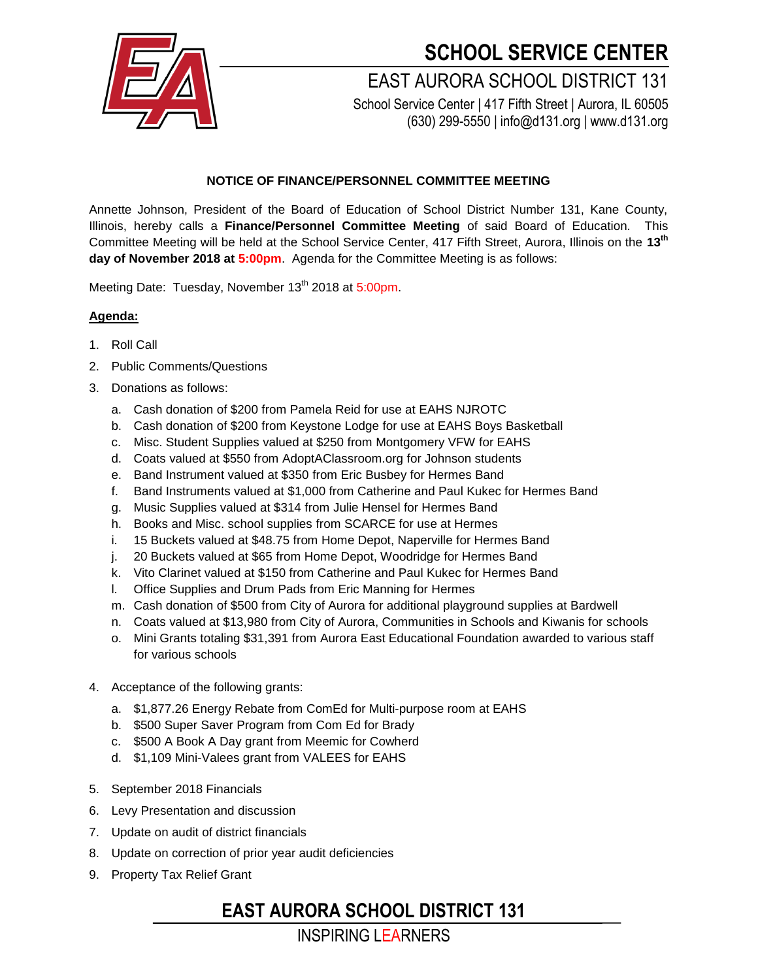

## **SCHOOL SERVICE CENTER**

EAST AURORA SCHOOL DISTRICT 131 School Service Center | 417 Fifth Street | Aurora, IL 60505 (630) 299-5550 | info@d131.org | www.d131.org

#### **NOTICE OF FINANCE/PERSONNEL COMMITTEE MEETING**

Annette Johnson, President of the Board of Education of School District Number 131, Kane County, Illinois, hereby calls a **Finance/Personnel Committee Meeting** of said Board of Education. This Committee Meeting will be held at the School Service Center, 417 Fifth Street, Aurora, Illinois on the **13 th day of November 2018 at 5:00pm**. Agenda for the Committee Meeting is as follows:

Meeting Date: Tuesday, November 13<sup>th</sup> 2018 at 5:00pm.

#### **Agenda:**

- 1. Roll Call
- 2. Public Comments/Questions
- 3. Donations as follows:
	- a. Cash donation of \$200 from Pamela Reid for use at EAHS NJROTC
	- b. Cash donation of \$200 from Keystone Lodge for use at EAHS Boys Basketball
	- c. Misc. Student Supplies valued at \$250 from Montgomery VFW for EAHS
	- d. Coats valued at \$550 from AdoptAClassroom.org for Johnson students
	- e. Band Instrument valued at \$350 from Eric Busbey for Hermes Band
	- f. Band Instruments valued at \$1,000 from Catherine and Paul Kukec for Hermes Band
	- g. Music Supplies valued at \$314 from Julie Hensel for Hermes Band
	- h. Books and Misc. school supplies from SCARCE for use at Hermes
	- i. 15 Buckets valued at \$48.75 from Home Depot, Naperville for Hermes Band
	- j. 20 Buckets valued at \$65 from Home Depot, Woodridge for Hermes Band
	- k. Vito Clarinet valued at \$150 from Catherine and Paul Kukec for Hermes Band
	- l. Office Supplies and Drum Pads from Eric Manning for Hermes
	- m. Cash donation of \$500 from City of Aurora for additional playground supplies at Bardwell
	- n. Coats valued at \$13,980 from City of Aurora, Communities in Schools and Kiwanis for schools
	- o. Mini Grants totaling \$31,391 from Aurora East Educational Foundation awarded to various staff for various schools
- 4. Acceptance of the following grants:
	- a. \$1,877.26 Energy Rebate from ComEd for Multi-purpose room at EAHS
	- b. \$500 Super Saver Program from Com Ed for Brady
	- c. \$500 A Book A Day grant from Meemic for Cowherd
	- d. \$1,109 Mini-Valees grant from VALEES for EAHS
- 5. September 2018 Financials
- 6. Levy Presentation and discussion
- 7. Update on audit of district financials
- 8. Update on correction of prior year audit deficiencies
- 9. Property Tax Relief Grant

### **EAST AURORA SCHOOL DISTRICT 131**